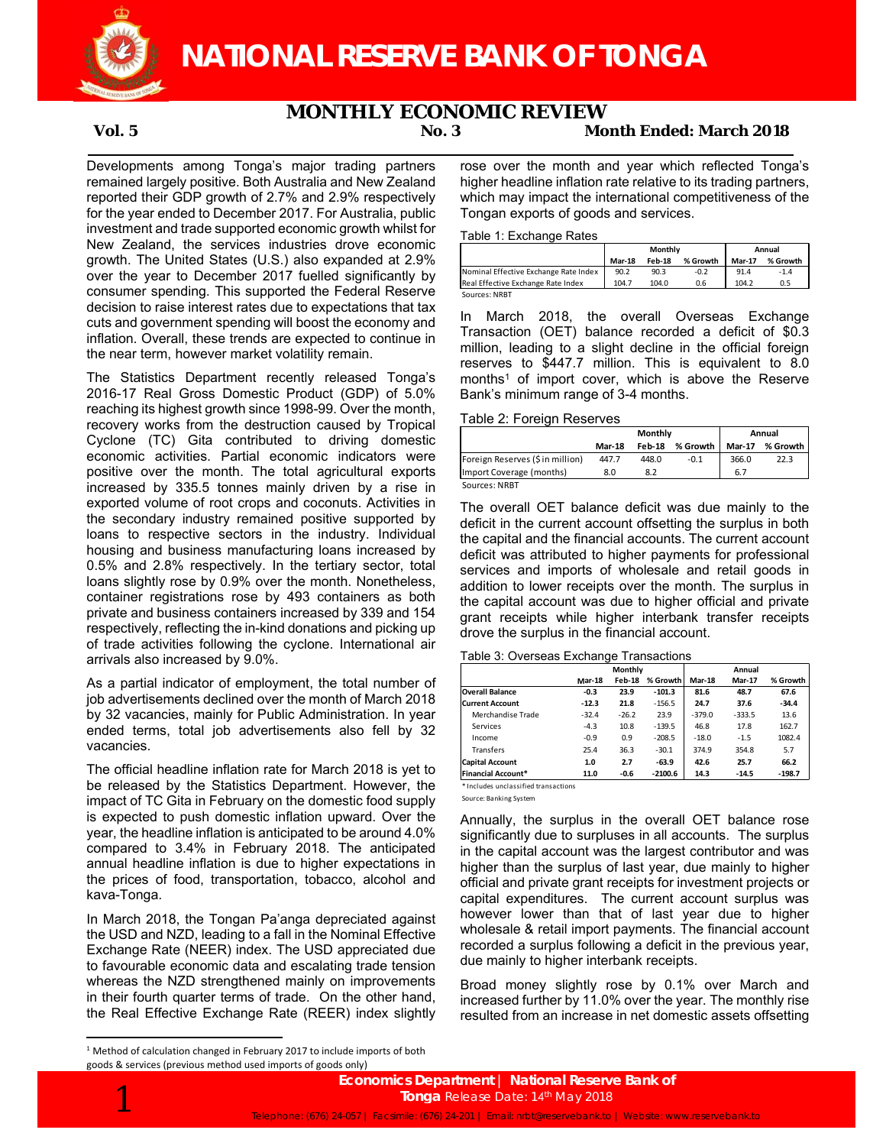

# **MONTHLY ECONOMIC REVIEW**

# **Vol. 5 No. 3 Month Ended: March 2018**

Developments among Tonga's major trading partners remained largely positive. Both Australia and New Zealand reported their GDP growth of 2.7% and 2.9% respectively for the year ended to December 2017. For Australia, public investment and trade supported economic growth whilst for New Zealand, the services industries drove economic growth. The United States (U.S.) also expanded at 2.9% over the year to December 2017 fuelled significantly by consumer spending. This supported the Federal Reserve decision to raise interest rates due to expectations that tax cuts and government spending will boost the economy and inflation. Overall, these trends are expected to continue in the near term, however market volatility remain.

The Statistics Department recently released Tonga's 2016-17 Real Gross Domestic Product (GDP) of 5.0% reaching its highest growth since 1998-99. Over the month, recovery works from the destruction caused by Tropical Cyclone (TC) Gita contributed to driving domestic economic activities. Partial economic indicators were positive over the month. The total agricultural exports increased by 335.5 tonnes mainly driven by a rise in exported volume of root crops and coconuts. Activities in the secondary industry remained positive supported by loans to respective sectors in the industry. Individual housing and business manufacturing loans increased by 0.5% and 2.8% respectively. In the tertiary sector, total loans slightly rose by 0.9% over the month. Nonetheless, container registrations rose by 493 containers as both private and business containers increased by 339 and 154 respectively, reflecting the in-kind donations and picking up of trade activities following the cyclone. International air arrivals also increased by 9.0%.

As a partial indicator of employment, the total number of job advertisements declined over the month of March 2018 by 32 vacancies, mainly for Public Administration. In year ended terms, total job advertisements also fell by 32 vacancies.

The official headline inflation rate for March 2018 is yet to be released by the Statistics Department. However, the impact of TC Gita in February on the domestic food supply is expected to push domestic inflation upward. Over the year, the headline inflation is anticipated to be around 4.0% compared to 3.4% in February 2018. The anticipated annual headline inflation is due to higher expectations in the prices of food, transportation, tobacco, alcohol and kava-Tonga.

In March 2018, the Tongan Pa'anga depreciated against the USD and NZD, leading to a fall in the Nominal Effective Exchange Rate (NEER) index. The USD appreciated due to favourable economic data and escalating trade tension whereas the NZD strengthened mainly on improvements in their fourth quarter terms of trade. On the other hand, the Real Effective Exchange Rate (REER) index slightly

rose over the month and year which reflected Tonga's higher headline inflation rate relative to its trading partners, which may impact the international competitiveness of the Tongan exports of goods and services.

### Table 1: Exchange Rates

|                                       | Monthly |        |          | Annual        |          |
|---------------------------------------|---------|--------|----------|---------------|----------|
|                                       | Mar-18  | Feb-18 | % Growth | <b>Mar-17</b> | % Growth |
| Nominal Effective Exchange Rate Index | 90.2    | 90.3   | $-0.2$   | 91.4          | $-1.4$   |
| Real Effective Exchange Rate Index    | 104.7   | 104.0  | 0.6      | 104.2         | 0.5      |
| Sources: NRBT                         |         |        |          |               |          |

In March 2018, the overall Overseas Exchange Transaction (OET) balance recorded a deficit of \$0.3 million, leading to a slight decline in the official foreign reserves to \$447.7 million. This is equivalent to 8.0 months<sup>1</sup> of import cover, which is above the Reserve Bank's minimum range of 3-4 months.

## Table 2: Foreign Reserves

|                                 |               | Monthly       | Annual     |               |            |
|---------------------------------|---------------|---------------|------------|---------------|------------|
|                                 | <b>Mar-18</b> | <b>Feb-18</b> | % Growth I | <b>Mar-17</b> | % Growth I |
| Foreign Reserves (\$in million) | 447.7         | 448.0         | $-0.1$     | 366.0         | 22.3       |
| Import Coverage (months)        | 8.0           | 8.2           |            | 6.7           |            |
| Sources: NRBT                   |               |               |            |               |            |

The overall OET balance deficit was due mainly to the deficit in the current account offsetting the surplus in both the capital and the financial accounts. The current account deficit was attributed to higher payments for professional services and imports of wholesale and retail goods in addition to lower receipts over the month. The surplus in the capital account was due to higher official and private grant receipts while higher interbank transfer receipts drove the surplus in the financial account.

#### Table 3: Overseas Exchange Transactions

|                           | <b>Monthly</b> |         |           | Annual        |               |          |  |
|---------------------------|----------------|---------|-----------|---------------|---------------|----------|--|
|                           | <b>Mar-18</b>  | Feb-18  | % Growth  | <b>Mar-18</b> | <b>Mar-17</b> | % Growth |  |
| <b>Overall Balance</b>    | $-0.3$         | 23.9    | $-101.3$  | 81.6          | 48.7          | 67.6     |  |
| <b>Current Account</b>    | $-12.3$        | 21.8    | $-156.5$  | 24.7          | 37.6          | $-34.4$  |  |
| Merchandise Trade         | $-32.4$        | $-26.2$ | 23.9      | $-379.0$      | $-333.5$      | 13.6     |  |
| Services                  | $-4.3$         | 10.8    | $-139.5$  | 46.8          | 17.8          | 162.7    |  |
| Income                    | $-0.9$         | 0.9     | $-208.5$  | $-18.0$       | $-1.5$        | 1082.4   |  |
| Transfers                 | 25.4           | 36.3    | $-30.1$   | 374.9         | 354.8         | 5.7      |  |
| <b>Capital Account</b>    | 1.0            | 2.7     | $-63.9$   | 42.6          | 25.7          | 66.2     |  |
| <b>Financial Account*</b> | 11.0           | $-0.6$  | $-2100.6$ | 14.3          | $-14.5$       | $-198.7$ |  |

\* Includes unclassified transactions

Source: Banking System

Annually, the surplus in the overall OET balance rose significantly due to surpluses in all accounts. The surplus in the capital account was the largest contributor and was higher than the surplus of last year, due mainly to higher official and private grant receipts for investment projects or capital expenditures. The current account surplus was however lower than that of last year due to higher wholesale & retail import payments. The financial account recorded a surplus following a deficit in the previous year, due mainly to higher interbank receipts.

Broad money slightly rose by 0.1% over March and increased further by 11.0% over the year. The monthly rise resulted from an increase in net domestic assets offsetting

<sup>&</sup>lt;sup>1</sup> Method of calculation changed in February 2017 to include imports of both goods & services (previous method used imports of goods only)